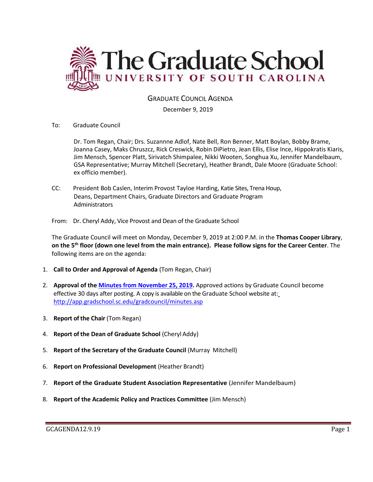

# GRADUATE COUNCIL AGENDA

December 9, 2019

To: Graduate Council

Dr. Tom Regan, Chair; Drs. Suzannne Adlof, Nate Bell, Ron Benner, Matt Boylan, Bobby Brame, Joanna Casey, Maks Chruszcz, Rick Creswick, Robin DiPietro, Jean Ellis, Elise Ince, Hippokratis Kiaris, Jim Mensch, Spencer Platt, Sirivatch Shimpalee, Nikki Wooten, Songhua Xu, Jennifer Mandelbaum, GSA Representative; Murray Mitchell (Secretary), Heather Brandt, Dale Moore (Graduate School: ex officio member).

CC: President Bob Caslen, Interim Provost Tayloe Harding, Katie Sites, Trena Houp, Deans, Department Chairs, Graduate Directors and Graduate Program **Administrators** 

From: Dr. Cheryl Addy, Vice Provost and Dean of the Graduate School

The Graduate Council will meet on Monday, December 9, 2019 at 2:00 P.M. in the **Thomas Cooper Library**, **on the 5th floor (down one level from the main entrance). Please follow signs for the Career Center**. The following items are on the agenda:

- 1. **Call to Order and Approval of Agenda** (Tom Regan, Chair)
- 2. **Approval of the [Minutes from November](GCMINUTESNOV252019MM.pdf) 25, 2019.** Approved actions by Graduate Council become effective 30 days after posting. A copy is available on the Graduate School website at[:](http://app.gradschool.sc.edu/gradcouncil/minutes.asp) <http://app.gradschool.sc.edu/gradcouncil/minutes.asp>
- 3. **Report of the Chair** (Tom Regan)
- 4. **Report of the Dean of Graduate School** (Cheryl Addy)
- 5. **Report of the Secretary of the Graduate Council** (Murray Mitchell)
- 6. **Report on Professional Development** (Heather Brandt)
- 7. **Report of the Graduate Student Association Representative** (Jennifer Mandelbaum)
- 8. **Report of the Academic Policy and Practices Committee** (Jim Mensch)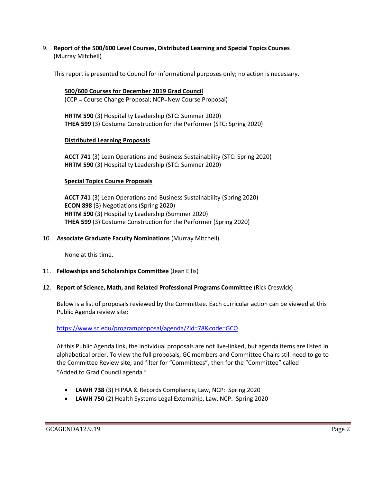9. **Report of the 500/600 Level Courses, Distributed Learning and Special Topics Courses** (Murray Mitchell)

This report is presented to Council for informational purposes only; no action is necessary.

**500/600 Courses for December 2019 Grad Council** (CCP = Course Change Proposal; NCP=New Course Proposal)

**HRTM 590** (3) Hospitality Leadership (STC: Summer 2020) **THEA 599** (3) Costume Construction for the Performer (STC: Spring 2020)

## **Distributed Learning Proposals**

**ACCT 741** (3) Lean Operations and Business Sustainability (STC: Spring 2020) **HRTM 590** (3) Hospitality Leadership (STC: Summer 2020)

#### **Special Topics Course Proposals**

**ACCT 741** (3) Lean Operations and Business Sustainability (Spring 2020) **ECON 898** (3) Negotiations (Spring 2020) **HRTM 590** (3) Hospitality Leadership (Summer 2020) **THEA 599** (3) Costume Construction for the Performer (Spring 2020)

## 10. **Associate Graduate Faculty Nominations** (Murray Mitchell)

None at this time.

- 11. **Fellowships and Scholarships Committee** (Jean Ellis)
- 12. **Report of Science, Math, and Related Professional Programs Committee** (Rick Creswick)

Below is a list of proposals reviewed by the Committee. Each curricular action can be viewed at this Public Agenda review site:

<https://www.sc.edu/programproposal/agenda/?id=78&code=GCO>

At this Public Agenda link, the individual proposals are not live-linked, but agenda items are listed in alphabetical order. To view the full proposals, GC members and Committee Chairs still need to go to the Committee Review site, and filter for "Committees", then for the "Committee" called "Added to Grad Council agenda."

- **LAWH 738** (3) HIPAA & Records Compliance, Law, NCP: Spring 2020
- **LAWH 750** (2) Health Systems Legal Externship, Law, NCP: Spring 2020